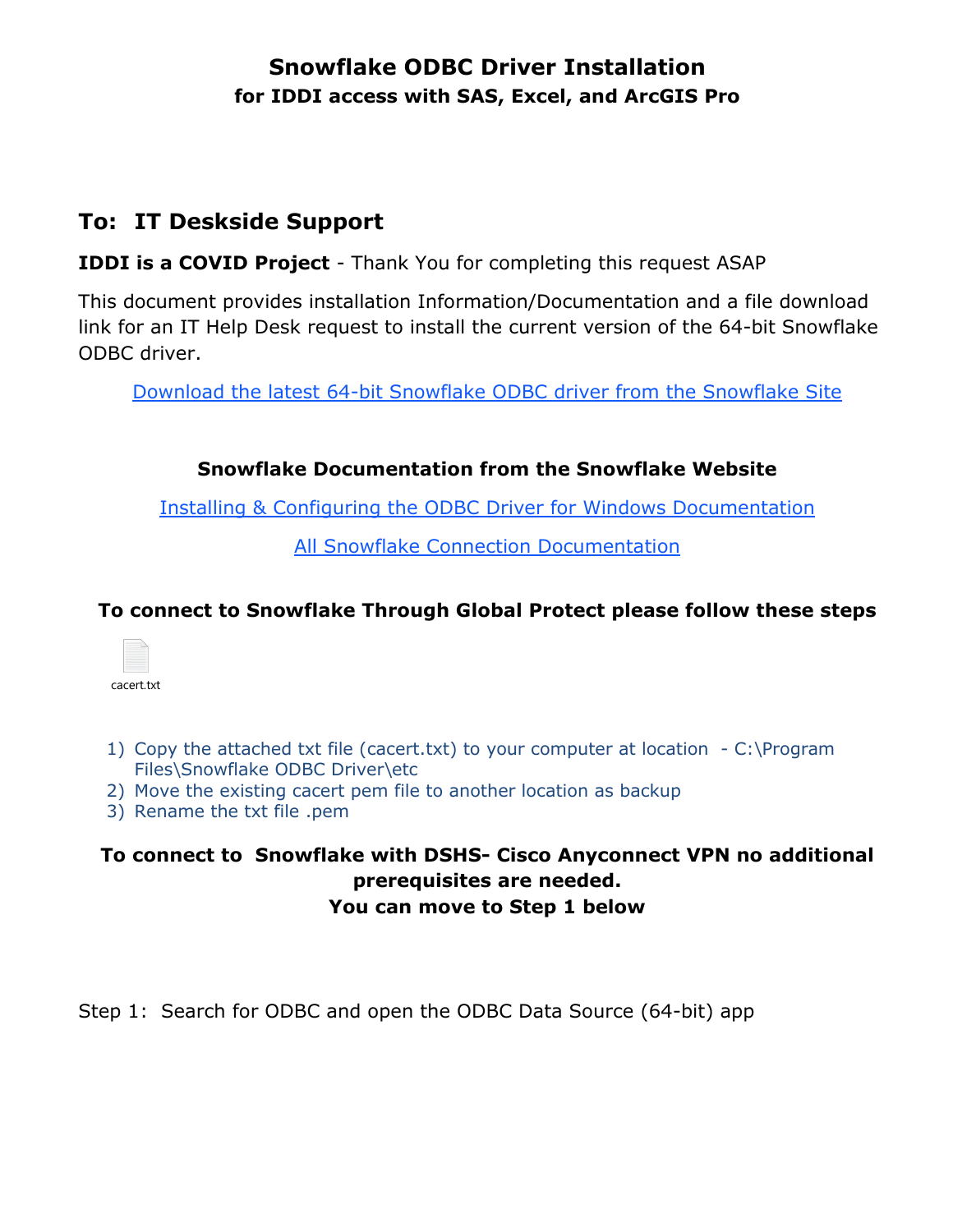## **Snowflake ODBC Driver Installation for IDDI access with SAS, Excel, and ArcGIS Pro**

# **To: IT Deskside Support**

**IDDI is a COVID Project** - Thank You for completing this request ASAP

This document provides installation Information/Documentation and a file download link for an IT Help Desk request to install the current version of the 64-bit Snowflake ODBC driver.

[Download the latest 64-bit Snowflake ODBC driver from the Snowflake Site](https://sfc-repo.snowflakecomputing.com/odbc/win64/latest/index.html)

#### **Snowflake Documentation from the Snowflake Website**

[Installing & Configuring the ODBC Driver for Windows Documentation](https://docs.snowflake.com/en/user-guide/odbc-windows.html) 

[All Snowflake Connection Documentation](https://docs.snowflake.com/en/user-guide-connecting.html)

### **To connect to Snowflake Through Global Protect please follow these steps**



- 1) Copy the attached txt file (cacert.txt) to your computer at location C:\Program Files\Snowflake ODBC Driver\etc
- 2) Move the existing cacert pem file to another location as backup
- 3) Rename the txt file .pem

#### **To connect to Snowflake with DSHS- Cisco Anyconnect VPN no additional prerequisites are needed. You can move to Step 1 below**

Step 1: Search for ODBC and open the ODBC Data Source (64-bit) app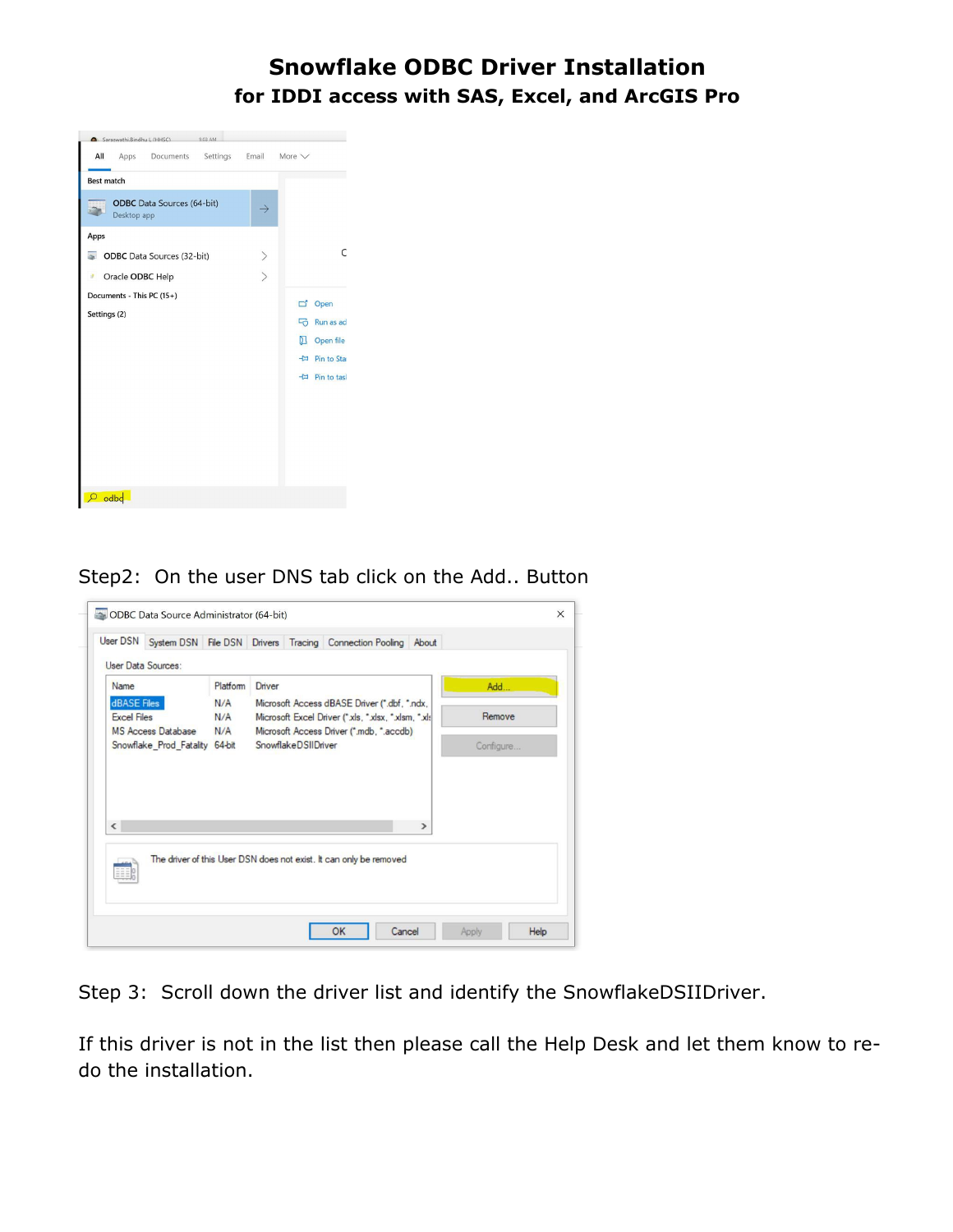### **Snowflake ODBC Driver Installation for IDDI access with SAS, Excel, and ArcGIS Pro**



Step2: On the user DNS tab click on the Add.. Button



Step 3: Scroll down the driver list and identify the SnowflakeDSIIDriver.

If this driver is not in the list then please call the Help Desk and let them know to redo the installation.